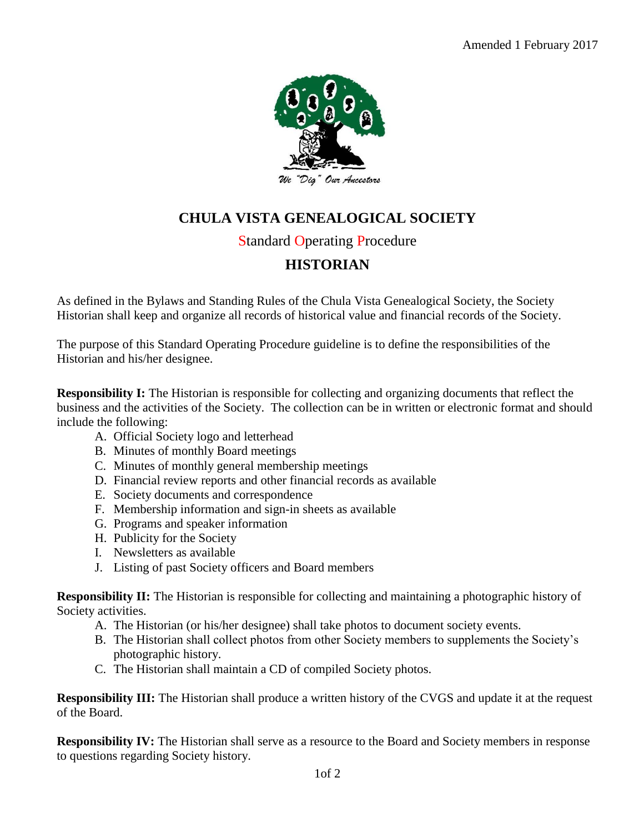

## **CHULA VISTA GENEALOGICAL SOCIETY**

## Standard Operating Procedure

## **HISTORIAN**

As defined in the Bylaws and Standing Rules of the Chula Vista Genealogical Society, the Society Historian shall keep and organize all records of historical value and financial records of the Society.

The purpose of this Standard Operating Procedure guideline is to define the responsibilities of the Historian and his/her designee.

**Responsibility I:** The Historian is responsible for collecting and organizing documents that reflect the business and the activities of the Society. The collection can be in written or electronic format and should include the following:

- A. Official Society logo and letterhead
- B. Minutes of monthly Board meetings
- C. Minutes of monthly general membership meetings
- D. Financial review reports and other financial records as available
- E. Society documents and correspondence
- F. Membership information and sign-in sheets as available
- G. Programs and speaker information
- H. Publicity for the Society
- I. Newsletters as available
- J. Listing of past Society officers and Board members

**Responsibility II:** The Historian is responsible for collecting and maintaining a photographic history of Society activities.

- A. The Historian (or his/her designee) shall take photos to document society events.
- B. The Historian shall collect photos from other Society members to supplements the Society's photographic history.
- C. The Historian shall maintain a CD of compiled Society photos.

**Responsibility III:** The Historian shall produce a written history of the CVGS and update it at the request of the Board.

**Responsibility IV:** The Historian shall serve as a resource to the Board and Society members in response to questions regarding Society history.